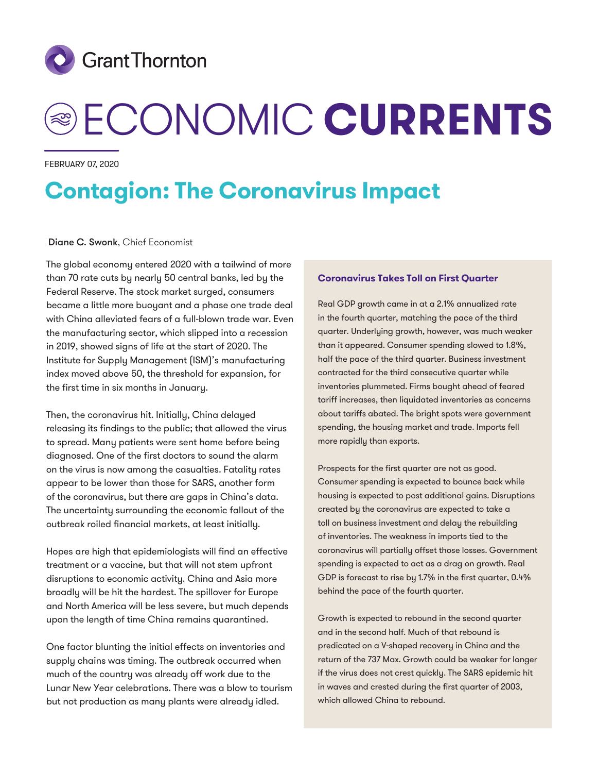

# ECONOMIC **CURRENTS**

February 07, 2020

# **Contagion: The Coronavirus Impact**

#### Diane C. Swonk, Chief Economist

The global economy entered 2020 with a tailwind of more than 70 rate cuts by nearly 50 central banks, led by the Federal Reserve. The stock market surged, consumers became a little more buoyant and a phase one trade deal with China alleviated fears of a full-blown trade war. Even the manufacturing sector, which slipped into a recession in 2019, showed signs of life at the start of 2020. The Institute for Supply Management (ISM)'s manufacturing index moved above 50, the threshold for expansion, for the first time in six months in January.

Then, the coronavirus hit. Initially, China delayed releasing its findings to the public; that allowed the virus to spread. Many patients were sent home before being diagnosed. One of the first doctors to sound the alarm on the virus is now among the casualties. Fatality rates appear to be lower than those for SARS, another form of the coronavirus, but there are gaps in China's data. The uncertainty surrounding the economic fallout of the outbreak roiled financial markets, at least initially.

Hopes are high that epidemiologists will find an effective treatment or a vaccine, but that will not stem upfront disruptions to economic activity. China and Asia more broadly will be hit the hardest. The spillover for Europe and North America will be less severe, but much depends upon the length of time China remains quarantined.

One factor blunting the initial effects on inventories and supply chains was timing. The outbreak occurred when much of the country was already off work due to the Lunar New Year celebrations. There was a blow to tourism but not production as many plants were already idled.

#### **Coronavirus Takes Toll on First Quarter**

Real GDP growth came in at a 2.1% annualized rate in the fourth quarter, matching the pace of the third quarter. Underlying growth, however, was much weaker than it appeared. Consumer spending slowed to 1.8%, half the pace of the third quarter. Business investment contracted for the third consecutive quarter while inventories plummeted. Firms bought ahead of feared tariff increases, then liquidated inventories as concerns about tariffs abated. The bright spots were government spending, the housing market and trade. Imports fell more rapidly than exports.

Prospects for the first quarter are not as good. Consumer spending is expected to bounce back while housing is expected to post additional gains. Disruptions created by the coronavirus are expected to take a toll on business investment and delay the rebuilding of inventories. The weakness in imports tied to the coronavirus will partially offset those losses. Government spending is expected to act as a drag on growth. Real GDP is forecast to rise by 1.7% in the first quarter, 0.4% behind the pace of the fourth quarter.

Growth is expected to rebound in the second quarter and in the second half. Much of that rebound is predicated on a V-shaped recovery in China and the return of the 737 Max. Growth could be weaker for longer if the virus does not crest quickly. The SARS epidemic hit in waves and crested during the first quarter of 2003, which allowed China to rebound.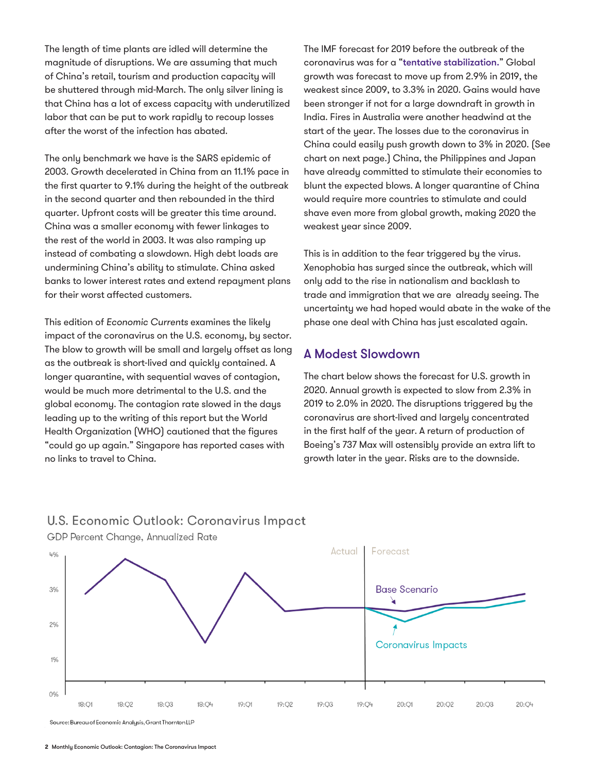The length of time plants are idled will determine the magnitude of disruptions. We are assuming that much of China's retail, tourism and production capacity will be shuttered through mid-March. The only silver lining is that China has a lot of excess capacity with underutilized labor that can be put to work rapidly to recoup losses after the worst of the infection has abated.

The only benchmark we have is the SARS epidemic of 2003. Growth decelerated in China from an 11.1% pace in the first quarter to 9.1% during the height of the outbreak in the second quarter and then rebounded in the third quarter. Upfront costs will be greater this time around. China was a smaller economy with fewer linkages to the rest of the world in 2003. It was also ramping up instead of combating a slowdown. High debt loads are undermining China's ability to stimulate. China asked banks to lower interest rates and extend repayment plans for their worst affected customers.

This edition of *Economic Currents* examines the likely impact of the coronavirus on the U.S. economy, by sector. The blow to growth will be small and largely offset as long as the outbreak is short-lived and quickly contained. A longer quarantine, with sequential waves of contagion, would be much more detrimental to the U.S. and the global economy. The contagion rate slowed in the days leading up to the writing of this report but the World Health Organization (WHO) cautioned that the figures "could go up again." Singapore has reported cases with no links to travel to China.

The IMF forecast for 2019 before the outbreak of the coronavirus was for a "[tentative stabilization.](https://www.imf.org/en/Publications/WEO/Issues/2020/01/20/weo-update-january2020)" Global growth was forecast to move up from 2.9% in 2019, the weakest since 2009, to 3.3% in 2020. Gains would have been stronger if not for a large downdraft in growth in India. Fires in Australia were another headwind at the start of the year. The losses due to the coronavirus in China could easily push growth down to 3% in 2020. (See chart on next page.) China, the Philippines and Japan have already committed to stimulate their economies to blunt the expected blows. A longer quarantine of China would require more countries to stimulate and could shave even more from global growth, making 2020 the weakest year since 2009.

This is in addition to the fear triggered by the virus. Xenophobia has surged since the outbreak, which will only add to the rise in nationalism and backlash to trade and immigration that we are already seeing. The uncertainty we had hoped would abate in the wake of the phase one deal with China has just escalated again.

## A Modest Slowdown

The chart below shows the forecast for U.S. growth in 2020. Annual growth is expected to slow from 2.3% in 2019 to 2.0% in 2020. The disruptions triggered by the coronavirus are short-lived and largely concentrated in the first half of the year. A return of production of Boeing's 737 Max will ostensibly provide an extra lift to growth later in the year. Risks are to the downside.





GDP Percent Change, Annualized Rate

Source: Bureau of Economic Analysis, Grant Thornton LLP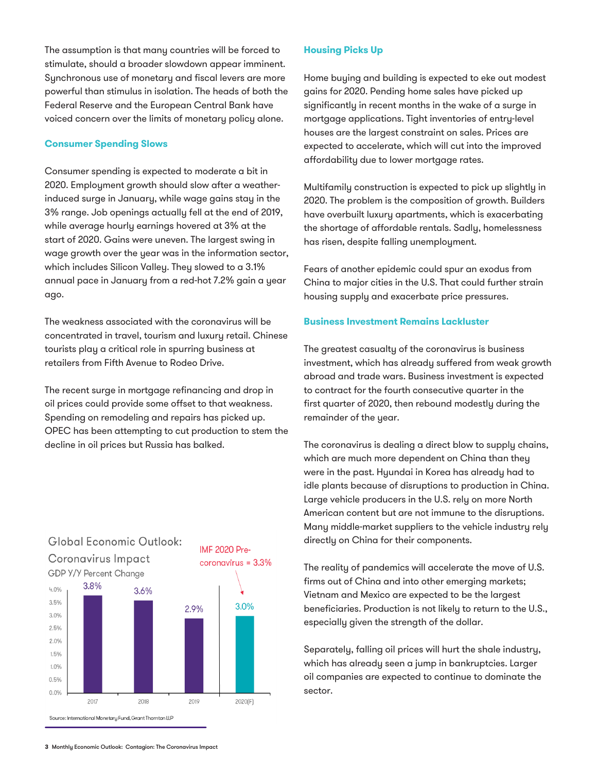The assumption is that many countries will be forced to stimulate, should a broader slowdown appear imminent. Synchronous use of monetary and fiscal levers are more powerful than stimulus in isolation. The heads of both the Federal Reserve and the European Central Bank have voiced concern over the limits of monetary policy alone.

#### **Consumer Spending Slows**

Consumer spending is expected to moderate a bit in 2020. Employment growth should slow after a weatherinduced surge in January, while wage gains stay in the 3% range. Job openings actually fell at the end of 2019, while average hourly earnings hovered at 3% at the start of 2020. Gains were uneven. The largest swing in wage growth over the year was in the information sector, which includes Silicon Valley. They slowed to a 3.1% annual pace in January from a red-hot 7.2% gain a year ago.

The weakness associated with the coronavirus will be concentrated in travel, tourism and luxury retail. Chinese tourists play a critical role in spurring business at retailers from Fifth Avenue to Rodeo Drive.

The recent surge in mortgage refinancing and drop in oil prices could provide some offset to that weakness. Spending on remodeling and repairs has picked up. OPEC has been attempting to cut production to stem the decline in oil prices but Russia has balked.



# Global Economic Outlook:

#### **Housing Picks Up**

Home buying and building is expected to eke out modest gains for 2020. Pending home sales have picked up significantly in recent months in the wake of a surge in mortgage applications. Tight inventories of entry-level houses are the largest constraint on sales. Prices are expected to accelerate, which will cut into the improved affordability due to lower mortgage rates.

Multifamily construction is expected to pick up slightly in 2020. The problem is the composition of growth. Builders have overbuilt luxury apartments, which is exacerbating the shortage of affordable rentals. Sadly, homelessness has risen, despite falling unemployment.

Fears of another epidemic could spur an exodus from China to major cities in the U.S. That could further strain housing supply and exacerbate price pressures.

#### **Business Investment Remains Lackluster**

The greatest casualty of the coronavirus is business investment, which has already suffered from weak growth abroad and trade wars. Business investment is expected to contract for the fourth consecutive quarter in the first quarter of 2020, then rebound modestly during the remainder of the year.

The coronavirus is dealing a direct blow to supply chains, which are much more dependent on China than they were in the past. Hyundai in Korea has already had to idle plants because of disruptions to production in China. Large vehicle producers in the U.S. rely on more North American content but are not immune to the disruptions. Many middle-market suppliers to the vehicle industry rely directly on China for their components.

The reality of pandemics will accelerate the move of U.S. firms out of China and into other emerging markets; Vietnam and Mexico are expected to be the largest beneficiaries. Production is not likely to return to the U.S., especially given the strength of the dollar.

Separately, falling oil prices will hurt the shale industry, which has already seen a jump in bankruptcies. Larger oil companies are expected to continue to dominate the sector.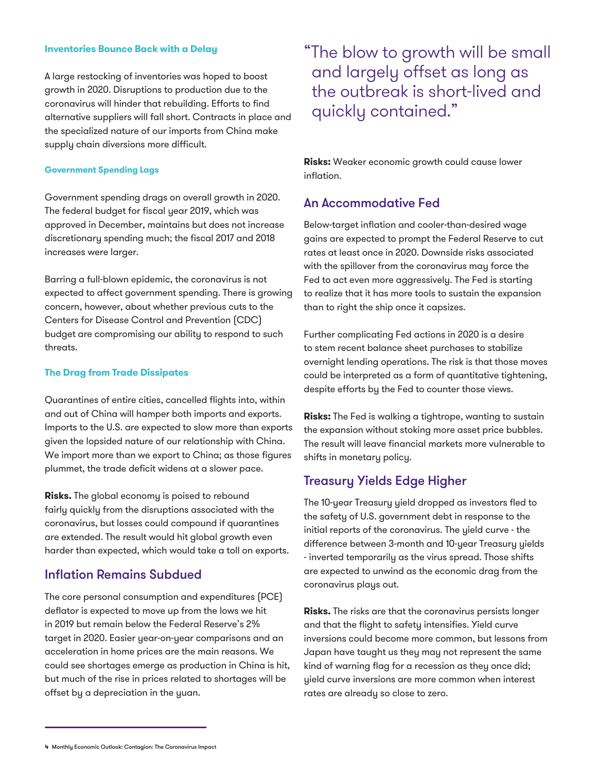#### **Inventories Bounce Back with a Delay**

A large restocking of inventories was hoped to boost growth in 2020. Disruptions to production due to the coronavirus will hinder that rebuilding. Efforts to find alternative suppliers will fall short. Contracts in place and the specialized nature of our imports from China make supply chain diversions more difficult.

#### **Government Spending Lags**

Government spending drags on overall growth in 2020. The federal budget for fiscal year 2019, which was approved in December, maintains but does not increase discretionary spending much; the fiscal 2017 and 2018 increases were larger.

Barring a full-blown epidemic, the coronavirus is not expected to affect government spending. There is growing concern, however, about whether previous cuts to the Centers for Disease Control and Prevention (CDC) budget are compromising our ability to respond to such threats.

#### **The Drag from Trade Dissipates**

Quarantines of entire cities, cancelled flights into, within and out of China will hamper both imports and exports. Imports to the U.S. are expected to slow more than exports given the lopsided nature of our relationship with China. We import more than we export to China; as those figures plummet, the trade deficit widens at a slower pace.

**Risks.** The global economy is poised to rebound fairly quickly from the disruptions associated with the coronavirus, but losses could compound if quarantines are extended. The result would hit global growth even harder than expected, which would take a toll on exports.

## Inflation Remains Subdued

The core personal consumption and expenditures (PCE) deflator is expected to move up from the lows we hit in 2019 but remain below the Federal Reserve's 2% target in 2020. Easier year-on-year comparisons and an acceleration in home prices are the main reasons. We could see shortages emerge as production in China is hit, but much of the rise in prices related to shortages will be offset by a depreciation in the yuan.

"The blow to growth will be small and largely offset as long as the outbreak is short-lived and quickly contained."

**Risks:** Weaker economic growth could cause lower inflation.

## An Accommodative Fed

Below-target inflation and cooler-than-desired wage gains are expected to prompt the Federal Reserve to cut rates at least once in 2020. Downside risks associated with the spillover from the coronavirus may force the Fed to act even more aggressively. The Fed is starting to realize that it has more tools to sustain the expansion than to right the ship once it capsizes.

Further complicating Fed actions in 2020 is a desire to stem recent balance sheet purchases to stabilize overnight lending operations. The risk is that those moves could be interpreted as a form of quantitative tightening, despite efforts by the Fed to counter those views.

**Risks:** The Fed is walking a tightrope, wanting to sustain the expansion without stoking more asset price bubbles. The result will leave financial markets more vulnerable to shifts in monetary policy.

## Treasury Yields Edge Higher

The 10-year Treasury yield dropped as investors fled to the safety of U.S. government debt in response to the initial reports of the coronavirus. The yield curve - the difference between 3-month and 10-year Treasury yields - inverted temporarily as the virus spread. Those shifts are expected to unwind as the economic drag from the coronavirus plays out.

**Risks.** The risks are that the coronavirus persists longer and that the flight to safety intensifies. Yield curve inversions could become more common, but lessons from Japan have taught us they may not represent the same kind of warning flag for a recession as they once did; yield curve inversions are more common when interest rates are already so close to zero.

**<sup>4</sup>** Monthly Economic Outlook: Contagion: The Coronavirus Impact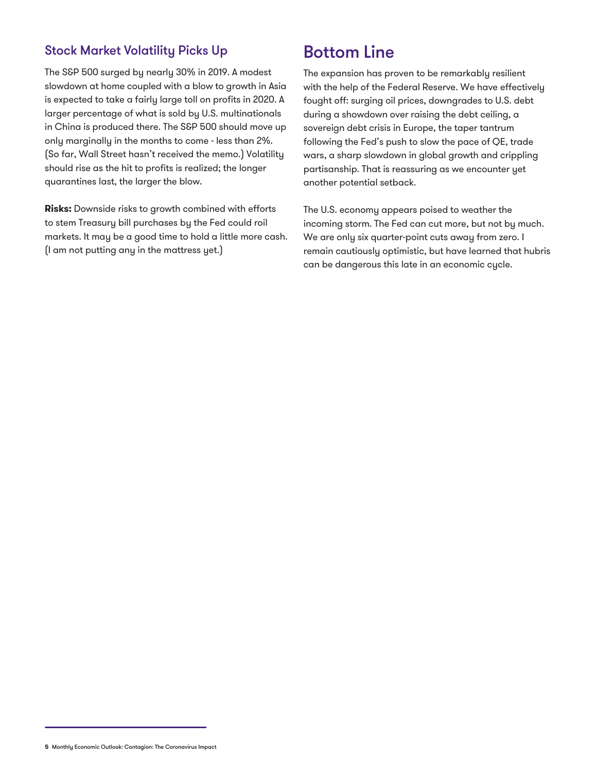# Stock Market Volatility Picks Up

The S&P 500 surged by nearly 30% in 2019. A modest slowdown at home coupled with a blow to growth in Asia is expected to take a fairly large toll on profits in 2020. A larger percentage of what is sold by U.S. multinationals in China is produced there. The S&P 500 should move up only marginally in the months to come - less than 2%. (So far, Wall Street hasn't received the memo.) Volatility should rise as the hit to profits is realized; the longer quarantines last, the larger the blow.

**Risks:** Downside risks to growth combined with efforts to stem Treasury bill purchases by the Fed could roil markets. It may be a good time to hold a little more cash. (I am not putting any in the mattress yet.)

# Bottom Line

The expansion has proven to be remarkably resilient with the help of the Federal Reserve. We have effectively fought off: surging oil prices, downgrades to U.S. debt during a showdown over raising the debt ceiling, a sovereign debt crisis in Europe, the taper tantrum following the Fed's push to slow the pace of QE, trade wars, a sharp slowdown in global growth and crippling partisanship. That is reassuring as we encounter yet another potential setback.

The U.S. economy appears poised to weather the incoming storm. The Fed can cut more, but not by much. We are only six quarter-point cuts away from zero. I remain cautiously optimistic, but have learned that hubris can be dangerous this late in an economic cycle.

**<sup>5</sup>** Monthly Economic Outlook: Contagion: The Coronavirus Impact